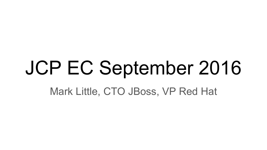# JCP EC September 2016

Mark Little, CTO JBoss, VP Red Hat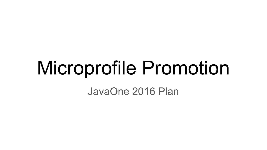## Microprofile Promotion

JavaOne 2016 Plan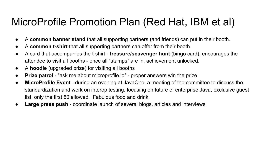### MicroProfile Promotion Plan (Red Hat, IBM et al)

- A **common banner stand** that all supporting partners (and friends) can put in their booth.
- A **common t-shirt** that all supporting partners can offer from their booth
- A card that accompanies the t-shirt **treasure/scavenger hunt** (bingo card), encourages the attendee to visit all booths - once all "stamps" are in, achievement unlocked.
- A **hoodie** (upgraded prize) for visiting all booths
- **Prize patrol** "ask me about microprofile.io" proper answers win the prize
- **MicroProfile Event** during an evening at JavaOne, a meeting of the committee to discuss the standardization and work on interop testing, focusing on future of enterprise Java, exclusive guest list, only the first 50 allowed. Fabulous food and drink.
- **Large press push** coordinate launch of several blogs, articles and interviews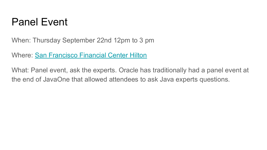### Panel Event

When: Thursday September 22nd 12pm to 3 pm

Where: San Francisco Financial Center Hilton

What: Panel event, ask the experts. Oracle has traditionally had a panel event at the end of JavaOne that allowed attendees to ask Java experts questions.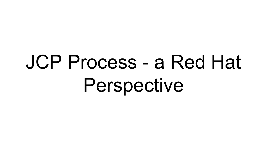# JCP Process - a Red Hat Perspective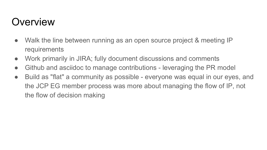## **Overview**

- Walk the line between running as an open source project & meeting IP requirements
- Work primarily in JIRA; fully document discussions and comments
- Github and asciidoc to manage contributions leveraging the PR model
- Build as "flat" a community as possible everyone was equal in our eyes, and the JCP EG member process was more about managing the flow of IP, not the flow of decision making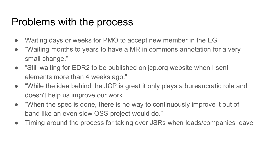### Problems with the process

- Waiting days or weeks for PMO to accept new member in the EG
- "Waiting months to years to have a MR in commons annotation for a very small change."
- "Still waiting for EDR2 to be published on jcp.org website when I sent elements more than 4 weeks ago."
- "While the idea behind the JCP is great it only plays a bureaucratic role and doesn't help us improve our work."
- "When the spec is done, there is no way to continuously improve it out of band like an even slow OSS project would do."
- Timing around the process for taking over JSRs when leads/companies leave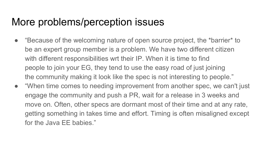### More problems/perception issues

- "Because of the welcoming nature of open source project, the \*barrier\* to be an expert group member is a problem. We have two different citizen with different responsibilities wrt their IP. When it is time to find people to join your EG, they tend to use the easy road of just joining the community making it look like the spec is not interesting to people."
- "When time comes to needing improvement from another spec, we can't just engage the community and push a PR, wait for a release in 3 weeks and move on. Often, other specs are dormant most of their time and at any rate, getting something in takes time and effort. Timing is often misaligned except for the Java EE babies."